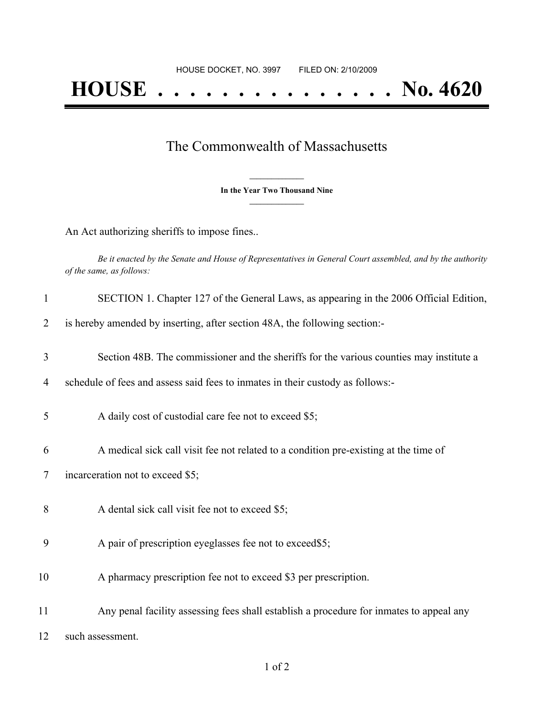## The Commonwealth of Massachusetts

**\_\_\_\_\_\_\_\_\_\_\_\_\_\_\_ In the Year Two Thousand Nine \_\_\_\_\_\_\_\_\_\_\_\_\_\_\_**

An Act authorizing sheriffs to impose fines..

Be it enacted by the Senate and House of Representatives in General Court assembled, and by the authority *of the same, as follows:*

| $\mathbf{1}$ | SECTION 1. Chapter 127 of the General Laws, as appearing in the 2006 Official Edition,  |
|--------------|-----------------------------------------------------------------------------------------|
| 2            | is hereby amended by inserting, after section 48A, the following section:-              |
| 3            | Section 48B. The commissioner and the sheriffs for the various counties may institute a |
| 4            | schedule of fees and assess said fees to inmates in their custody as follows:-          |
| 5            | A daily cost of custodial care fee not to exceed \$5;                                   |
| 6            | A medical sick call visit fee not related to a condition pre-existing at the time of    |
| 7            | incarceration not to exceed \$5;                                                        |
| 8            | A dental sick call visit fee not to exceed \$5;                                         |
| 9            | A pair of prescription eyeglasses fee not to exceed\$5;                                 |
| 10           | A pharmacy prescription fee not to exceed \$3 per prescription.                         |
| 11           | Any penal facility assessing fees shall establish a procedure for inmates to appeal any |
| 12           | such assessment.                                                                        |